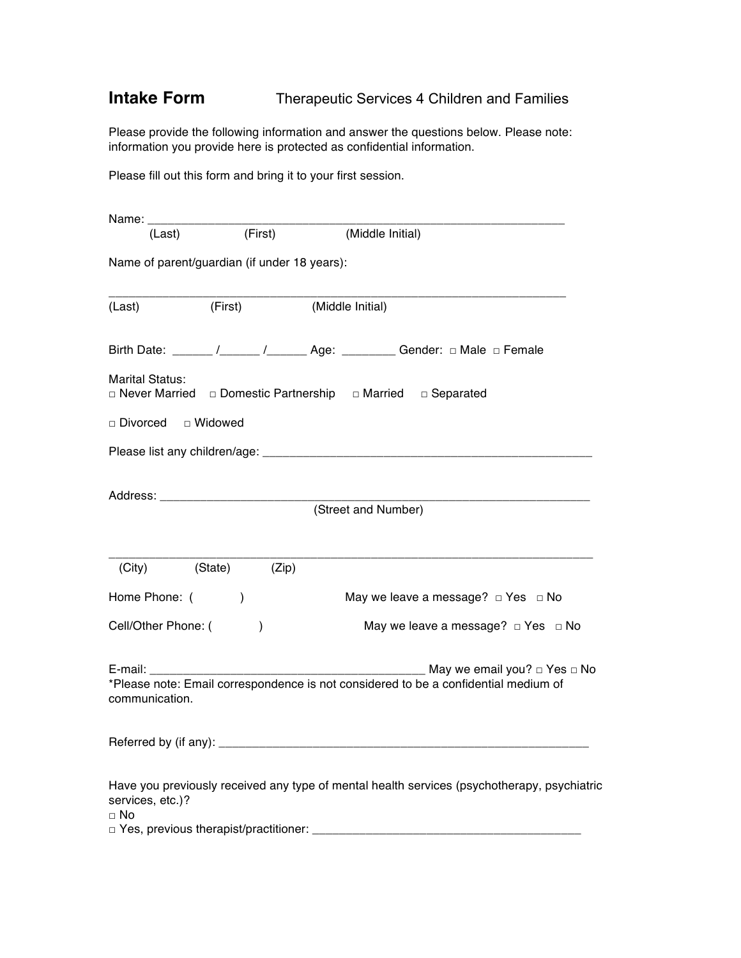## **Intake Form** Therapeutic Services 4 Children and Families

Please provide the following information and answer the questions below. Please note: information you provide here is protected as confidential information.

Please fill out this form and bring it to your first session.

| Name: _________________       |                                              |                                                                                             |
|-------------------------------|----------------------------------------------|---------------------------------------------------------------------------------------------|
| (Last)                        | (First)                                      | (Middle Initial)                                                                            |
|                               | Name of parent/guardian (if under 18 years): |                                                                                             |
| (Last)                        | (First)                                      | (Middle Initial)                                                                            |
|                               |                                              |                                                                                             |
| <b>Marital Status:</b>        |                                              | $\Box$ Never Married $\Box$ Domestic Partnership $\Box$ Married $\Box$ Separated            |
| □ Divorced □ Widowed          |                                              |                                                                                             |
|                               |                                              |                                                                                             |
|                               |                                              |                                                                                             |
|                               |                                              | (Street and Number)                                                                         |
| (City)                        | (State)<br>(Zip)                             |                                                                                             |
| Home Phone: (                 | $\lambda$                                    | May we leave a message? $\Box$ Yes $\Box$ No                                                |
| Cell/Other Phone: (           | $\mathcal{E}$                                | May we leave a message? $\Box$ Yes $\Box$ No                                                |
| communication.                |                                              | *Please note: Email correspondence is not considered to be a confidential medium of         |
|                               |                                              |                                                                                             |
| services, etc.)?<br>$\Box$ No |                                              | Have you previously received any type of mental health services (psychotherapy, psychiatric |
|                               |                                              |                                                                                             |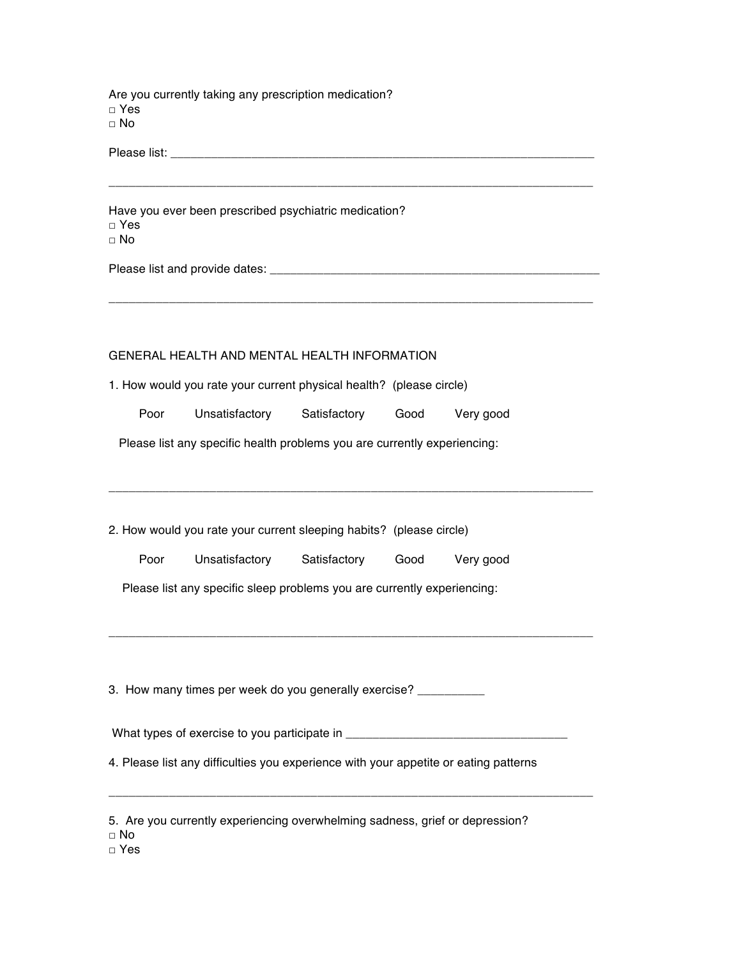Are you currently taking any prescription medication? □ Yes □ No

Please list: \_\_\_\_\_\_\_\_\_\_\_\_\_\_\_\_\_\_\_\_\_\_\_\_\_\_\_\_\_\_\_\_\_\_\_\_\_\_\_\_\_\_\_\_\_\_\_\_\_\_\_\_\_\_\_\_\_\_\_\_\_\_\_

Have you ever been prescribed psychiatric medication? □ Yes □ No

Please list and provide dates: \_\_\_\_\_\_\_\_\_\_\_\_\_\_\_\_\_\_\_\_\_\_\_\_\_\_\_\_\_\_\_\_\_\_\_\_\_\_\_\_\_\_\_\_\_\_\_\_\_

## GENERAL HEALTH AND MENTAL HEALTH INFORMATION

1. How would you rate your current physical health? (please circle)

Poor Unsatisfactory Satisfactory Good Very good

\_\_\_\_\_\_\_\_\_\_\_\_\_\_\_\_\_\_\_\_\_\_\_\_\_\_\_\_\_\_\_\_\_\_\_\_\_\_\_\_\_\_\_\_\_\_\_\_\_\_\_\_\_\_\_\_\_\_\_\_\_\_\_\_\_\_\_\_\_\_\_\_

\_\_\_\_\_\_\_\_\_\_\_\_\_\_\_\_\_\_\_\_\_\_\_\_\_\_\_\_\_\_\_\_\_\_\_\_\_\_\_\_\_\_\_\_\_\_\_\_\_\_\_\_\_\_\_\_\_\_\_\_\_\_\_\_\_\_\_\_\_\_\_\_

\_\_\_\_\_\_\_\_\_\_\_\_\_\_\_\_\_\_\_\_\_\_\_\_\_\_\_\_\_\_\_\_\_\_\_\_\_\_\_\_\_\_\_\_\_\_\_\_\_\_\_\_\_\_\_\_\_\_\_\_\_\_\_\_\_\_\_\_\_\_\_\_

\_\_\_\_\_\_\_\_\_\_\_\_\_\_\_\_\_\_\_\_\_\_\_\_\_\_\_\_\_\_\_\_\_\_\_\_\_\_\_\_\_\_\_\_\_\_\_\_\_\_\_\_\_\_\_\_\_\_\_\_\_\_\_\_\_\_\_\_\_\_\_\_

Please list any specific health problems you are currently experiencing:

2. How would you rate your current sleeping habits? (please circle)

Poor Unsatisfactory Satisfactory Good Very good

Please list any specific sleep problems you are currently experiencing:

3. How many times per week do you generally exercise? \_\_\_\_\_\_\_\_\_\_

What types of exercise to you participate in

\_\_\_\_\_\_\_\_\_\_\_\_\_\_\_\_\_\_\_\_\_\_\_\_\_\_\_\_\_\_\_\_\_\_\_\_\_\_\_\_\_\_\_\_\_\_\_\_\_\_\_\_\_\_\_\_\_\_\_\_\_\_\_\_\_\_\_\_\_\_\_\_

4. Please list any difficulties you experience with your appetite or eating patterns

|  |  | 5. Are you currently experiencing overwhelming sadness, grief or depression? |  |  |
|--|--|------------------------------------------------------------------------------|--|--|
|  |  |                                                                              |  |  |

 $\neg$  No

□ Yes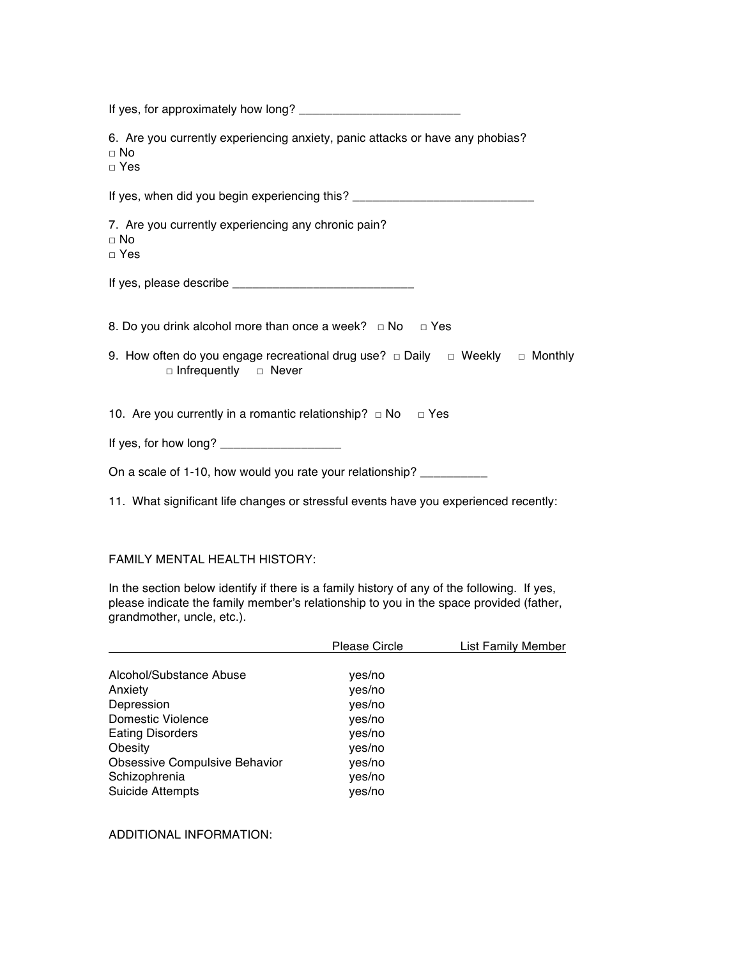| 6. Are you currently experiencing anxiety, panic attacks or have any phobias?<br>$\sqcap$ No<br>$\Box$ Yes            |
|-----------------------------------------------------------------------------------------------------------------------|
| If yes, when did you begin experiencing this? __________________________________                                      |
| 7. Are you currently experiencing any chronic pain?<br>$\Box$ No<br>$\Box$ Yes                                        |
|                                                                                                                       |
| 8. Do you drink alcohol more than once a week? $\Box$ No $\Box$ Yes                                                   |
| 9. How often do you engage recreational drug use? $\Box$ Daily $\Box$ Weekly $\Box$ Monthly<br>□ Infrequently □ Never |
| 10. Are you currently in a romantic relationship? $\Box$ No $\Box$ Yes                                                |
|                                                                                                                       |
| On a scale of 1-10, how would you rate your relationship? ___________                                                 |

11. What significant life changes or stressful events have you experienced recently:

## FAMILY MENTAL HEALTH HISTORY:

In the section below identify if there is a family history of any of the following. If yes, please indicate the family member's relationship to you in the space provided (father, grandmother, uncle, etc.).

|                                      | <b>Please Circle</b> | List Family Member |
|--------------------------------------|----------------------|--------------------|
|                                      |                      |                    |
| Alcohol/Substance Abuse              | yes/no               |                    |
| Anxiety                              | yes/no               |                    |
| Depression                           | yes/no               |                    |
| Domestic Violence                    | yes/no               |                    |
| <b>Eating Disorders</b>              | yes/no               |                    |
| Obesity                              | yes/no               |                    |
| <b>Obsessive Compulsive Behavior</b> | yes/no               |                    |
| Schizophrenia                        | yes/no               |                    |
| <b>Suicide Attempts</b>              | yes/no               |                    |

ADDITIONAL INFORMATION: